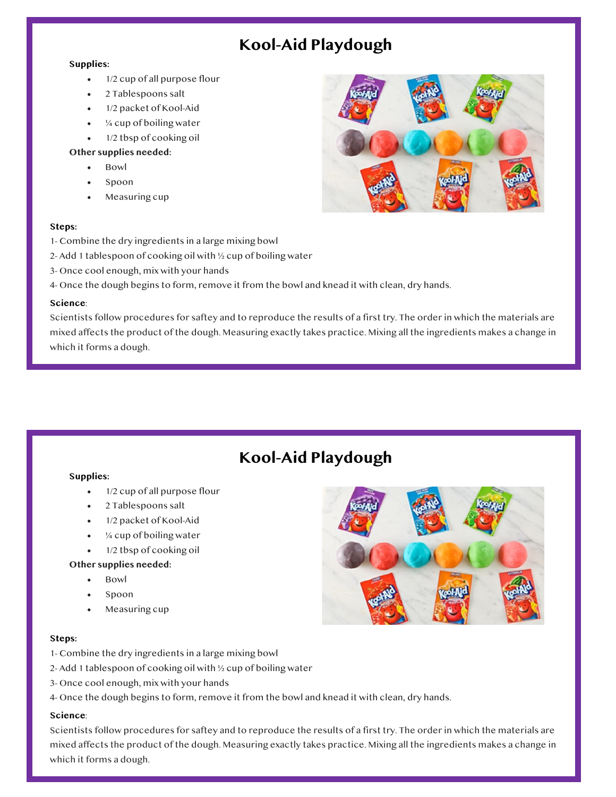## **Kool-Aid Playdough**

### **Supplies:**

- 1/2 cup of all purpose flour
- 2 Tablespoons salt
- 1/2 packet of Kool-Aid
- ¼ cup of boiling water
- 1/2 tbsp of cooking oil

## **Other supplies needed:**

- Bowl
- Spoon
- Measuring cup

## **Steps:**

- 1. 1- Combine the dry ingredients in a large mixing bowl
- 2. 2- Add 1 tablespoon of cooking oil with ½ cup of boiling water
- 3. 3- Once cool enough, mix with your hands
- 4- Once the dough begins to form, remove it from the bowl and knead it with clean, dry hands.

## **Science**:

Scientists follow procedures for saftey and to reproduce the results of a first try. The order in which the materials are mixed affects the product of the dough. Measuring exactly takes practice. Mixing all the ingredients makes a change in which it forms a dough.

# **Kool-Aid Playdough**

## **Supplies:**

- 1/2 cup of all purpose flour
- 2 Tablespoons salt
- 1/2 packet of Kool-Aid
- $\frac{1}{4}$  cup of boiling water
- 1/2 tbsp of cooking oil

## **Other supplies needed:**

- Bowl
- Spoon
- Measuring cup

## **Steps:**

- 4. 1- Combine the dry ingredients in a large mixing bowl
- 2- Add 1 tablespoon of cooking oil with  $\frac{1}{2}$  cup of boiling water
- 6. 3- Once cool enough, mix with your hands
- 4- Once the dough begins to form, remove it from the bowl and knead it with clean, dry hands.

## **Science**:

Scientists follow procedures for saftey and to reproduce the results of a first try. The order in which the materials are mixed affects the product of the dough. Measuring exactly takes practice. Mixing all the ingredients makes a change in which it forms a dough.